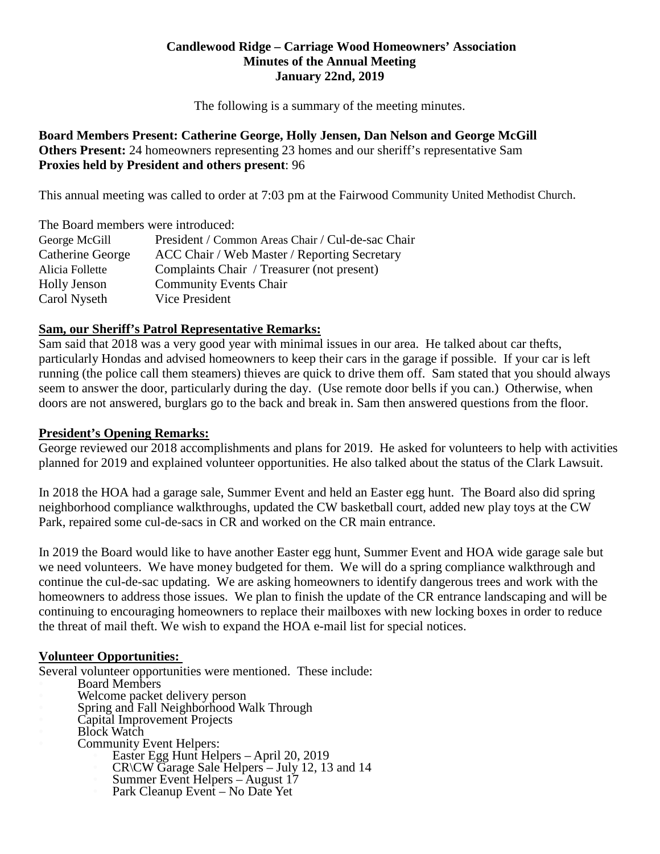### **Candlewood Ridge – Carriage Wood Homeowners' Association Minutes of the Annual Meeting January 22nd, 2019**

The following is a summary of the meeting minutes.

### **Board Members Present: Catherine George, Holly Jensen, Dan Nelson and George McGill Others Present:** 24 homeowners representing 23 homes and our sheriff's representative Sam **Proxies held by President and others present**: 96

This annual meeting was called to order at 7:03 pm at the Fairwood Community United Methodist Church.

| The Board members were introduced: |                                                   |
|------------------------------------|---------------------------------------------------|
| George McGill                      | President / Common Areas Chair / Cul-de-sac Chair |
| Catherine George                   | ACC Chair / Web Master / Reporting Secretary      |
| Alicia Follette                    | Complaints Chair / Treasurer (not present)        |
| <b>Holly Jenson</b>                | <b>Community Events Chair</b>                     |
| Carol Nyseth                       | Vice President                                    |

# **Sam, our Sheriff's Patrol Representative Remarks:**

Sam said that 2018 was a very good year with minimal issues in our area. He talked about car thefts, particularly Hondas and advised homeowners to keep their cars in the garage if possible. If your car is left running (the police call them steamers) thieves are quick to drive them off. Sam stated that you should always seem to answer the door, particularly during the day. (Use remote door bells if you can.) Otherwise, when doors are not answered, burglars go to the back and break in. Sam then answered questions from the floor.

### **President's Opening Remarks:**

George reviewed our 2018 accomplishments and plans for 2019. He asked for volunteers to help with activities planned for 2019 and explained volunteer opportunities. He also talked about the status of the Clark Lawsuit.

In 2018 the HOA had a garage sale, Summer Event and held an Easter egg hunt. The Board also did spring neighborhood compliance walkthroughs, updated the CW basketball court, added new play toys at the CW Park, repaired some cul-de-sacs in CR and worked on the CR main entrance.

In 2019 the Board would like to have another Easter egg hunt, Summer Event and HOA wide garage sale but we need volunteers. We have money budgeted for them. We will do a spring compliance walkthrough and continue the cul-de-sac updating. We are asking homeowners to identify dangerous trees and work with the homeowners to address those issues. We plan to finish the update of the CR entrance landscaping and will be continuing to encouraging homeowners to replace their mailboxes with new locking boxes in order to reduce the threat of mail theft. We wish to expand the HOA e-mail list for special notices.

# **Volunteer Opportunities:**

Several volunteer opportunities were mentioned. These include:<br>
Board Members<br>
Welcome packet delivery person<br>
Spring and Fall Neighborhood Walk Through<br>
Capital Improvement Projects<br>
Block Watch<br>
Community Event Helpers:<br>

- 
- 
- 
- 
- - -
		-
		-
		-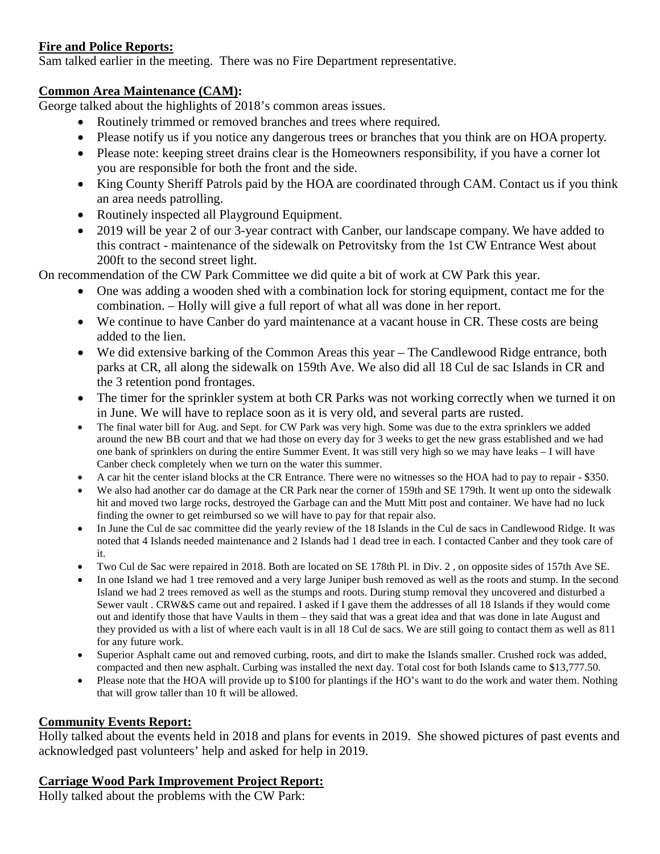# **Fire and Police Reports:**

Sam talked earlier in the meeting. There was no Fire Department representative.

# **Common Area Maintenance (CAM):**

George talked about the highlights of 2018's common areas issues.

- Routinely trimmed or removed branches and trees where required.
- Please notify us if you notice any dangerous trees or branches that you think are on HOA property.
- Please note: keeping street drains clear is the Homeowners responsibility, if you have a corner lot you are responsible for both the front and the side.
- King County Sheriff Patrols paid by the HOA are coordinated through CAM. Contact us if you think an area needs patrolling.
- Routinely inspected all Playground Equipment.
- 2019 will be year 2 of our 3-year contract with Canber, our landscape company. We have added to this contract - maintenance of the sidewalk on Petrovitsky from the 1st CW Entrance West about 200ft to the second street light.

On recommendation of the CW Park Committee we did quite a bit of work at CW Park this year.

- One was adding a wooden shed with a combination lock for storing equipment, contact me for the combination. – Holly will give a full report of what all was done in her report.
- We continue to have Canber do yard maintenance at a vacant house in CR. These costs are being added to the lien.
- We did extensive barking of the Common Areas this year The Candlewood Ridge entrance, both parks at CR, all along the sidewalk on 159th Ave. We also did all 18 Cul de sac Islands in CR and the 3 retention pond frontages.
- The timer for the sprinkler system at both CR Parks was not working correctly when we turned it on in June. We will have to replace soon as it is very old, and several parts are rusted.
- The final water bill for Aug. and Sept. for CW Park was very high. Some was due to the extra sprinklers we added around the new BB court and that we had those on every day for 3 weeks to get the new grass established and we had one bank of sprinklers on during the entire Summer Event. It was still very high so we may have leaks – I will have Canber check completely when we turn on the water this summer.
- A car hit the center island blocks at the CR Entrance. There were no witnesses so the HOA had to pay to repair \$350.
- We also had another car do damage at the CR Park near the corner of 159th and SE 179th. It went up onto the sidewalk hit and moved two large rocks, destroyed the Garbage can and the Mutt Mitt post and container. We have had no luck finding the owner to get reimbursed so we will have to pay for that repair also.
- In June the Cul de sac committee did the yearly review of the 18 Islands in the Cul de sacs in Candlewood Ridge. It was noted that 4 Islands needed maintenance and 2 Islands had 1 dead tree in each. I contacted Canber and they took care of it.
- Two Cul de Sac were repaired in 2018. Both are located on SE 178th Pl. in Div. 2 , on opposite sides of 157th Ave SE.
- In one Island we had 1 tree removed and a very large Juniper bush removed as well as the roots and stump. In the second Island we had 2 trees removed as well as the stumps and roots. During stump removal they uncovered and disturbed a Sewer vault . CRW&S came out and repaired. I asked if I gave them the addresses of all 18 Islands if they would come out and identify those that have Vaults in them – they said that was a great idea and that was done in late August and they provided us with a list of where each vault is in all 18 Cul de sacs. We are still going to contact them as well as 811 for any future work.
- Superior Asphalt came out and removed curbing, roots, and dirt to make the Islands smaller. Crushed rock was added, compacted and then new asphalt. Curbing was installed the next day. Total cost for both Islands came to \$13,777.50.
- Please note that the HOA will provide up to \$100 for plantings if the HO's want to do the work and water them. Nothing that will grow taller than 10 ft will be allowed.

# **Community Events Report:**

Holly talked about the events held in 2018 and plans for events in 2019. She showed pictures of past events and acknowledged past volunteers' help and asked for help in 2019.

# **Carriage Wood Park Improvement Project Report:**

Holly talked about the problems with the CW Park: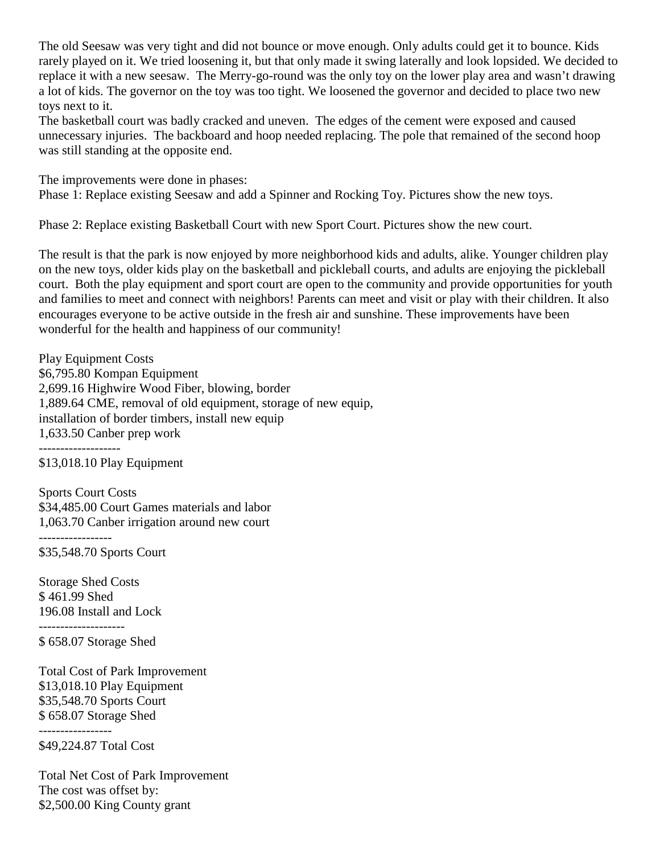The old Seesaw was very tight and did not bounce or move enough. Only adults could get it to bounce. Kids rarely played on it. We tried loosening it, but that only made it swing laterally and look lopsided. We decided to replace it with a new seesaw. The Merry-go-round was the only toy on the lower play area and wasn't drawing a lot of kids. The governor on the toy was too tight. We loosened the governor and decided to place two new toys next to it.

The basketball court was badly cracked and uneven. The edges of the cement were exposed and caused unnecessary injuries. The backboard and hoop needed replacing. The pole that remained of the second hoop was still standing at the opposite end.

The improvements were done in phases:

Phase 1: Replace existing Seesaw and add a Spinner and Rocking Toy. Pictures show the new toys.

Phase 2: Replace existing Basketball Court with new Sport Court. Pictures show the new court.

The result is that the park is now enjoyed by more neighborhood kids and adults, alike. Younger children play on the new toys, older kids play on the basketball and pickleball courts, and adults are enjoying the pickleball court. Both the play equipment and sport court are open to the community and provide opportunities for youth and families to meet and connect with neighbors! Parents can meet and visit or play with their children. It also encourages everyone to be active outside in the fresh air and sunshine. These improvements have been wonderful for the health and happiness of our community!

Play Equipment Costs \$6,795.80 Kompan Equipment 2,699.16 Highwire Wood Fiber, blowing, border 1,889.64 CME, removal of old equipment, storage of new equip, installation of border timbers, install new equip 1,633.50 Canber prep work

-------------------

\$13,018.10 Play Equipment

Sports Court Costs \$34,485.00 Court Games materials and labor 1,063.70 Canber irrigation around new court

-----------------

--------------------

\$35,548.70 Sports Court

Storage Shed Costs \$ 461.99 Shed 196.08 Install and Lock

\$ 658.07 Storage Shed

Total Cost of Park Improvement \$13,018.10 Play Equipment \$35,548.70 Sports Court \$ 658.07 Storage Shed

----------------- \$49,224.87 Total Cost

Total Net Cost of Park Improvement The cost was offset by: \$2,500.00 King County grant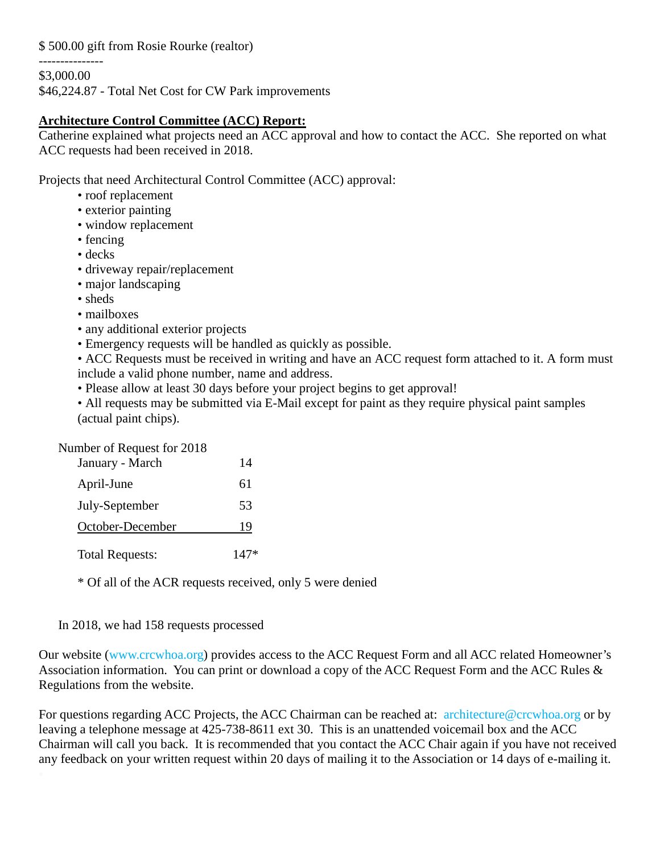\$ 500.00 gift from Rosie Rourke (realtor)

---------------

\$3,000.00

\$46,224.87 - Total Net Cost for CW Park improvements

#### **Architecture Control Committee (ACC) Report:**

Catherine explained what projects need an ACC approval and how to contact the ACC. She reported on what ACC requests had been received in 2018.

Projects that need Architectural Control Committee (ACC) approval:

- roof replacement
- exterior painting
- window replacement
- fencing
- decks
- driveway repair/replacement
- major landscaping
- sheds
- mailboxes
- any additional exterior projects
- Emergency requests will be handled as quickly as possible.

• ACC Requests must be received in writing and have an ACC request form attached to it. A form must include a valid phone number, name and address.

• Please allow at least 30 days before your project begins to get approval!

• All requests may be submitted via E-Mail except for paint as they require physical paint samples (actual paint chips).

Number of Request for 2018

| January - March        | 14     |
|------------------------|--------|
| April-June             | 61     |
| July-September         | 53     |
| October-December       | 19     |
| <b>Total Requests:</b> | $147*$ |

\* Of all of the ACR requests received, only 5 were denied

#### In 2018, we had 158 requests processed

Our website (www.crcwhoa.org) provides access to the ACC Request Form and all ACC related Homeowner's Association information. You can print or download a copy of the ACC Request Form and the ACC Rules & Regulations from the website.

For questions regarding ACC Projects, the ACC Chairman can be reached at: architecture@crcwhoa.org or by leaving a telephone message at 425-738-8611 ext 30. This is an unattended voicemail box and the ACC Chairman will call you back. It is recommended that you contact the ACC Chair again if you have not received any feedback on your written request within 20 days of mailing it to the Association or 14 days of e-mailing it.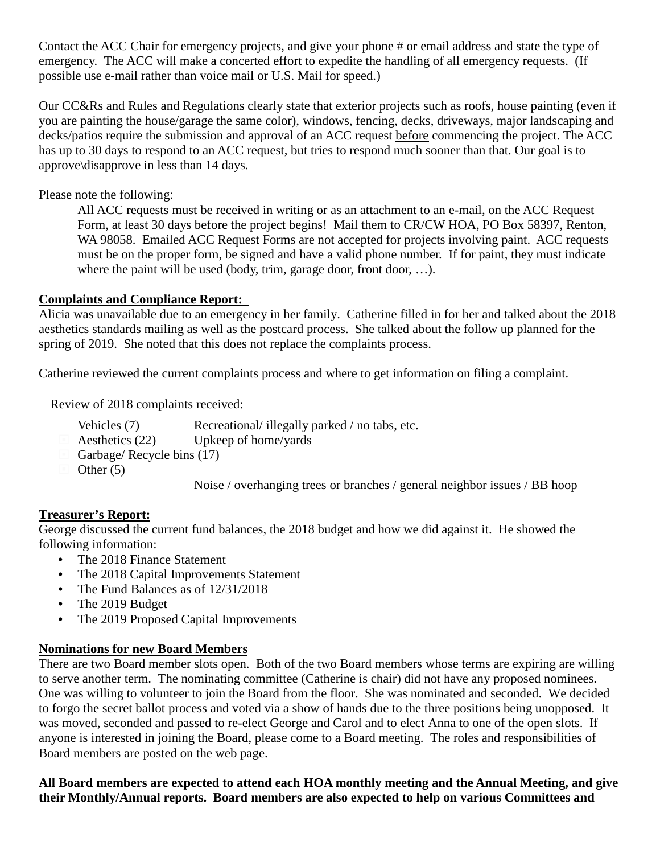Contact the ACC Chair for emergency projects, and give your phone # or email address and state the type of emergency. The ACC will make a concerted effort to expedite the handling of all emergency requests. (If possible use e-mail rather than voice mail or U.S. Mail for speed.)

Our CC&Rs and Rules and Regulations clearly state that exterior projects such as roofs, house painting (even if you are painting the house/garage the same color), windows, fencing, decks, driveways, major landscaping and decks/patios require the submission and approval of an ACC request before commencing the project. The ACC has up to 30 days to respond to an ACC request, but tries to respond much sooner than that. Our goal is to approve\disapprove in less than 14 days.

Please note the following:

All ACC requests must be received in writing or as an attachment to an e-mail, on the ACC Request Form, at least 30 days before the project begins! Mail them to CR/CW HOA, PO Box 58397, Renton, WA 98058. Emailed ACC Request Forms are not accepted for projects involving paint. ACC requests must be on the proper form, be signed and have a valid phone number. If for paint, they must indicate where the paint will be used (body, trim, garage door, front door, ...).

# **Complaints and Compliance Report:**

Alicia was unavailable due to an emergency in her family. Catherine filled in for her and talked about the 2018 aesthetics standards mailing as well as the postcard process. She talked about the follow up planned for the spring of 2019. She noted that this does not replace the complaints process.

Catherine reviewed the current complaints process and where to get information on filing a complaint.

Review of 2018 complaints received:

- Vehicles (7) Recreational/ illegally parked / no tabs, etc.
- $\Box$  Aesthetics (22) Upkeep of home/yards
- Garbage/ Recycle bins (17)
- Other  $(5)$

Noise / overhanging trees or branches / general neighbor issues / BB hoop

# **Treasurer's Report:**

George discussed the current fund balances, the 2018 budget and how we did against it. He showed the following information:

- The 2018 Finance Statement
- The 2018 Capital Improvements Statement
- The Fund Balances as of  $12/31/2018$
- The 2019 Budget
- The 2019 Proposed Capital Improvements

# **Nominations for new Board Members**

There are two Board member slots open. Both of the two Board members whose terms are expiring are willing to serve another term. The nominating committee (Catherine is chair) did not have any proposed nominees. One was willing to volunteer to join the Board from the floor. She was nominated and seconded. We decided to forgo the secret ballot process and voted via a show of hands due to the three positions being unopposed. It was moved, seconded and passed to re-elect George and Carol and to elect Anna to one of the open slots. If anyone is interested in joining the Board, please come to a Board meeting. The roles and responsibilities of Board members are posted on the web page.

**All Board members are expected to attend each HOA monthly meeting and the Annual Meeting, and give their Monthly/Annual reports. Board members are also expected to help on various Committees and**